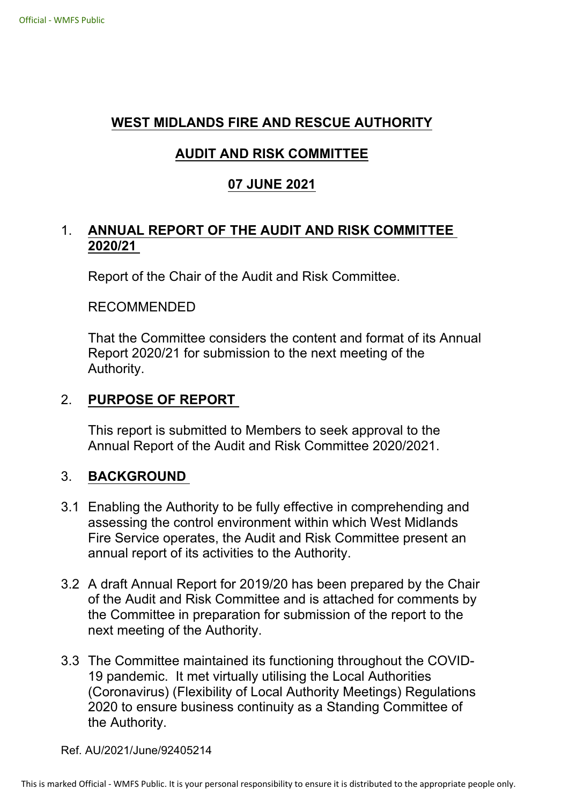# **WEST MIDLANDS FIRE AND RESCUE AUTHORITY**

# **AUDIT AND RISK COMMITTEE**

# **07 JUNE 2021**

# 1. **ANNUAL REPORT OF THE AUDIT AND RISK COMMITTEE 2020/21**

Report of the Chair of the Audit and Risk Committee.

#### RECOMMENDED

That the Committee considers the content and format of its Annual Report 2020/21 for submission to the next meeting of the Authority.

### 2. **PURPOSE OF REPORT**

This report is submitted to Members to seek approval to the Annual Report of the Audit and Risk Committee 2020/2021.

## 3. **BACKGROUND**

- 3.1 Enabling the Authority to be fully effective in comprehending and assessing the control environment within which West Midlands Fire Service operates, the Audit and Risk Committee present an annual report of its activities to the Authority.
- 3.2 A draft Annual Report for 2019/20 has been prepared by the Chair of the Audit and Risk Committee and is attached for comments by the Committee in preparation for submission of the report to the next meeting of the Authority.
- 3.3 The Committee maintained its functioning throughout the COVID-19 pandemic. It met virtually utilising the Local Authorities (Coronavirus) (Flexibility of Local Authority Meetings) Regulations 2020 to ensure business continuity as a Standing Committee of the Authority.

Ref. AU/2021/June/92405214